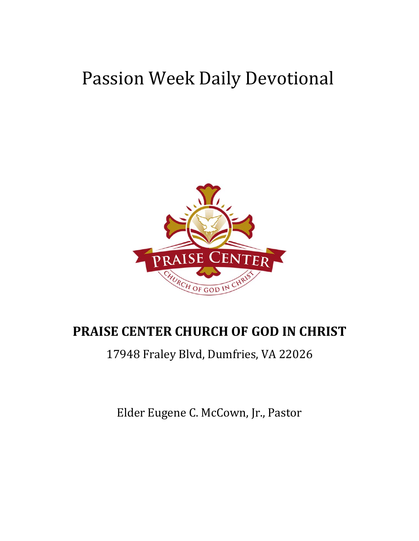# Passion Week Daily Devotional



# **PRAISE CENTER CHURCH OF GOD IN CHRIST**

17948 Fraley Blvd, Dumfries, VA 22026

Elder Eugene C. McCown, Jr., Pastor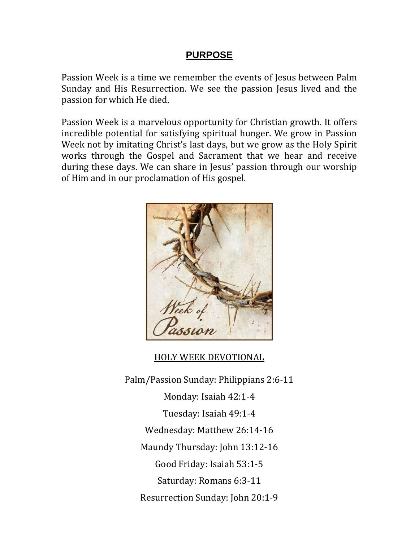# **PURPOSE**

Passion Week is a time we remember the events of Jesus between Palm Sunday and His Resurrection. We see the passion Jesus lived and the passion for which He died.

Passion Week is a marvelous opportunity for Christian growth. It offers incredible potential for satisfying spiritual hunger. We grow in Passion Week not by imitating Christ's last days, but we grow as the Holy Spirit works through the Gospel and Sacrament that we hear and receive during these days. We can share in Jesus' passion through our worship of Him and in our proclamation of His gospel.



### HOLY WEEK DEVOTIONAL

Palm/Passion Sunday: Philippians 2:6-11 Monday: Isaiah 42:1-4 Tuesday: Isaiah 49:1-4 Wednesday: Matthew 26:14-16 Maundy Thursday: John 13:12-16 Good Friday: Isaiah 53:1-5 Saturday: Romans 6:3-11 Resurrection Sunday: John 20:1-9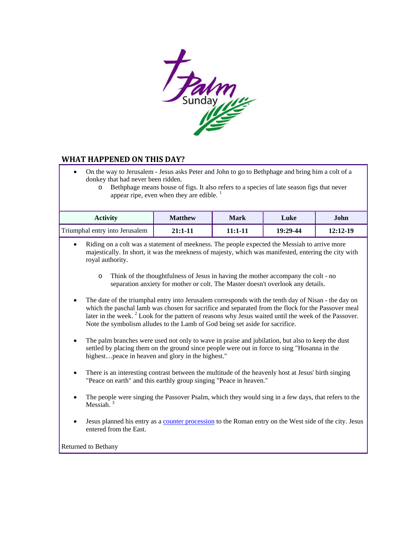

#### **WHAT HAPPENED ON THIS DAY?**

- On the way to Jerusalem Jesus asks Peter and John to go to Bethphage and bring him a colt of a donkey that had never been ridden.
	- o Bethphage means house of figs. It also refers to a species of late season figs that never appear ripe, even when they are edible.  $<sup>1</sup>$ </sup>

| <b>Activity</b>                | <b>Matthew</b> | Mark      | Luke     | John     |
|--------------------------------|----------------|-----------|----------|----------|
| Triumphal entry into Jerusalem | 21:1-11        | $11:1-11$ | 19:29-44 | 12:12-19 |

 Riding on a colt was a statement of meekness. The people expected the Messiah to arrive more majestically. In short, it was the meekness of majesty, which was manifested, entering the city with royal authority.

- o Think of the thoughtfulness of Jesus in having the mother accompany the colt no separation anxiety for mother or colt. The Master doesn't overlook any details.
- The date of the triumphal entry into Jerusalem corresponds with the tenth day of Nisan the day on which the paschal lamb was chosen for sacrifice and separated from the flock for the Passover meal later in the week.  $2$  Look for the pattern of reasons why Jesus waited until the week of the Passover. Note the symbolism alludes to the Lamb of God being set aside for sacrifice.
- The palm branches were used not only to wave in praise and jubilation, but also to keep the dust settled by placing them on the ground since people were out in force to sing "Hosanna in the highest...peace in heaven and glory in the highest."
- There is an interesting contrast between the multitude of the heavenly host at Jesus' birth singing "Peace on earth" and this earthly group singing "Peace in heaven."
- The people were singing the Passover Psalm, which they would sing in a few days, that refers to the Messiah.<sup>3</sup>
- Jesus planned his entry as a counter procession to the Roman entry on the West side of the city. Jesus entered from the East.

Returned to Bethany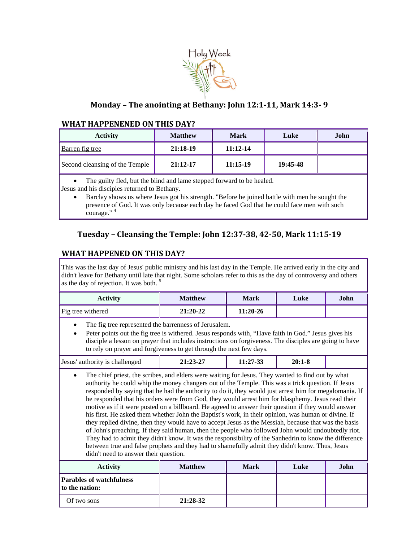

#### **Monday – The anointing at Bethany: John 12:1‐11, Mark 14:3‐ 9**

#### **WHAT HAPPENENED ON THIS DAY?**

| <b>Activity</b>                | <b>Matthew</b> | <b>Mark</b> | Luke     | John |
|--------------------------------|----------------|-------------|----------|------|
| <b>Barren</b> fig tree         | $21:18-19$     | $11:12-14$  |          |      |
| Second cleansing of the Temple | $21:12-17$     | 11:15-19    | 19:45-48 |      |

The guilty fled, but the blind and lame stepped forward to be healed.

Jesus and his disciples returned to Bethany.

 Barclay shows us where Jesus got his strength. "Before he joined battle with men he sought the presence of God. It was only because each day he faced God that he could face men with such courage." <sup>4</sup>

#### **Tuesday – Cleansing the Temple: John 12:37‐38, 42‐50, Mark 11:15‐19**

#### **WHAT HAPPENED ON THIS DAY?**

This was the last day of Jesus' public ministry and his last day in the Temple. He arrived early in the city and didn't leave for Bethany until late that night. Some scholars refer to this as the day of controversy and others as the day of rejection. It was both.<sup>5</sup>

| <b>Activity</b>   | <b>Matthew</b> | Mark     | <b>Luke</b> | John |
|-------------------|----------------|----------|-------------|------|
| Fig tree withered | $21:20-22$     | 11:20-26 |             |      |

- The fig tree represented the barrenness of Jerusalem.
- Peter points out the fig tree is withered. Jesus responds with, "Have faith in God." Jesus gives his disciple a lesson on prayer that includes instructions on forgiveness. The disciples are going to have to rely on prayer and forgiveness to get through the next few days.

| Jesus' authority is challenged | 21:23-27 | 11:27-33 | 20:1-8 |  |
|--------------------------------|----------|----------|--------|--|
|--------------------------------|----------|----------|--------|--|

 The chief priest, the scribes, and elders were waiting for Jesus. They wanted to find out by what authority he could whip the money changers out of the Temple. This was a trick question. If Jesus responded by saying that he had the authority to do it, they would just arrest him for megalomania. If he responded that his orders were from God, they would arrest him for blasphemy. Jesus read their motive as if it were posted on a billboard. He agreed to answer their question if they would answer his first. He asked them whether John the Baptist's work, in their opinion, was human or divine. If they replied divine, then they would have to accept Jesus as the Messiah, because that was the basis of John's preaching. If they said human, then the people who followed John would undoubtedly riot. They had to admit they didn't know. It was the responsibility of the Sanhedrin to know the difference between true and false prophets and they had to shamefully admit they didn't know. Thus, Jesus didn't need to answer their question.

| <b>Activity</b>                                   | <b>Matthew</b> | <b>Mark</b> | Luke | John |
|---------------------------------------------------|----------------|-------------|------|------|
| <b>Parables of watchfulness</b><br>to the nation: |                |             |      |      |
| Of two sons                                       | 21:28-32       |             |      |      |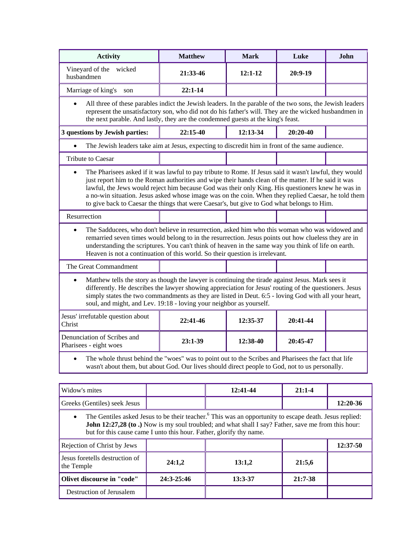| <b>Activity</b>                                                                                                                                                                                                                                                                                                                                                                                         | <b>Matthew</b>                                                                                                                                                                                                                                                                                                                                                                                                                                                                                                            |  | <b>Mark</b> | Luke       | John     |
|---------------------------------------------------------------------------------------------------------------------------------------------------------------------------------------------------------------------------------------------------------------------------------------------------------------------------------------------------------------------------------------------------------|---------------------------------------------------------------------------------------------------------------------------------------------------------------------------------------------------------------------------------------------------------------------------------------------------------------------------------------------------------------------------------------------------------------------------------------------------------------------------------------------------------------------------|--|-------------|------------|----------|
| Vineyard of the<br>wicked<br>husbandmen                                                                                                                                                                                                                                                                                                                                                                 | 21:33-46                                                                                                                                                                                                                                                                                                                                                                                                                                                                                                                  |  | $12:1-12$   | 20:9-19    |          |
| Marriage of king's<br>son                                                                                                                                                                                                                                                                                                                                                                               | 22:1-14                                                                                                                                                                                                                                                                                                                                                                                                                                                                                                                   |  |             |            |          |
| $\bullet$                                                                                                                                                                                                                                                                                                                                                                                               | All three of these parables indict the Jewish leaders. In the parable of the two sons, the Jewish leaders<br>represent the unsatisfactory son, who did not do his father's will. They are the wicked husbandmen in<br>the next parable. And lastly, they are the condemned guests at the king's feast.                                                                                                                                                                                                                    |  |             |            |          |
| 3 questions by Jewish parties:                                                                                                                                                                                                                                                                                                                                                                          | 22:15-40                                                                                                                                                                                                                                                                                                                                                                                                                                                                                                                  |  | $12:13-34$  | 20:20-40   |          |
| The Jewish leaders take aim at Jesus, expecting to discredit him in front of the same audience.<br>$\bullet$                                                                                                                                                                                                                                                                                            |                                                                                                                                                                                                                                                                                                                                                                                                                                                                                                                           |  |             |            |          |
| Tribute to Caesar                                                                                                                                                                                                                                                                                                                                                                                       |                                                                                                                                                                                                                                                                                                                                                                                                                                                                                                                           |  |             |            |          |
| $\bullet$                                                                                                                                                                                                                                                                                                                                                                                               | The Pharisees asked if it was lawful to pay tribute to Rome. If Jesus said it wasn't lawful, they would<br>just report him to the Roman authorities and wipe their hands clean of the matter. If he said it was<br>lawful, the Jews would reject him because God was their only King. His questioners knew he was in<br>a no-win situation. Jesus asked whose image was on the coin. When they replied Caesar, he told them<br>to give back to Caesar the things that were Caesar's, but give to God what belongs to Him. |  |             |            |          |
| Resurrection                                                                                                                                                                                                                                                                                                                                                                                            |                                                                                                                                                                                                                                                                                                                                                                                                                                                                                                                           |  |             |            |          |
| The Sadducees, who don't believe in resurrection, asked him who this woman who was widowed and<br>remarried seven times would belong to in the resurrection. Jesus points out how clueless they are in<br>understanding the scriptures. You can't think of heaven in the same way you think of life on earth.<br>Heaven is not a continuation of this world. So their question is irrelevant.           |                                                                                                                                                                                                                                                                                                                                                                                                                                                                                                                           |  |             |            |          |
| The Great Commandment                                                                                                                                                                                                                                                                                                                                                                                   |                                                                                                                                                                                                                                                                                                                                                                                                                                                                                                                           |  |             |            |          |
| Matthew tells the story as though the lawyer is continuing the tirade against Jesus. Mark sees it<br>$\bullet$<br>differently. He describes the lawyer showing appreciation for Jesus' routing of the questioners. Jesus<br>simply states the two commandments as they are listed in Deut. 6:5 - loving God with all your heart,<br>soul, and might, and Lev. 19:18 - loving your neighbor as yourself. |                                                                                                                                                                                                                                                                                                                                                                                                                                                                                                                           |  |             |            |          |
| Jesus' irrefutable question about<br>Christ                                                                                                                                                                                                                                                                                                                                                             | 22:41-46                                                                                                                                                                                                                                                                                                                                                                                                                                                                                                                  |  | 12:35-37    | 20:41-44   |          |
| Denunciation of Scribes and<br>Pharisees - eight woes                                                                                                                                                                                                                                                                                                                                                   | 23:1-39                                                                                                                                                                                                                                                                                                                                                                                                                                                                                                                   |  | 12:38-40    | 20:45-47   |          |
| The whole thrust behind the "woes" was to point out to the Scribes and Pharisees the fact that life<br>wasn't about them, but about God. Our lives should direct people to God, not to us personally.                                                                                                                                                                                                   |                                                                                                                                                                                                                                                                                                                                                                                                                                                                                                                           |  |             |            |          |
| Widow's mites                                                                                                                                                                                                                                                                                                                                                                                           |                                                                                                                                                                                                                                                                                                                                                                                                                                                                                                                           |  | 12:41-44    | $21:1 - 4$ |          |
| Greeks (Gentiles) seek Jesus                                                                                                                                                                                                                                                                                                                                                                            |                                                                                                                                                                                                                                                                                                                                                                                                                                                                                                                           |  |             |            | 12:20-36 |

 $\bullet$  The Gentiles asked Jesus to be their teacher.<sup>6</sup> This was an opportunity to escape death. Jesus replied: **John 12:27,28 (to.)** Now is my soul troubled; and what shall I say? Father, save me from this hour: but for this cause came I unto this hour. Father, glorify thy name.

| Rejection of Christ by Jews                  |            |           |           | 12:37-50 |
|----------------------------------------------|------------|-----------|-----------|----------|
| Jesus foretells destruction of<br>the Temple | 24:1,2     | 13:1,2    | 21:5,6    |          |
| Olivet discourse in "code"                   | 24:3-25:46 | $13:3-37$ | $21:7-38$ |          |
| Destruction of Jerusalem                     |            |           |           |          |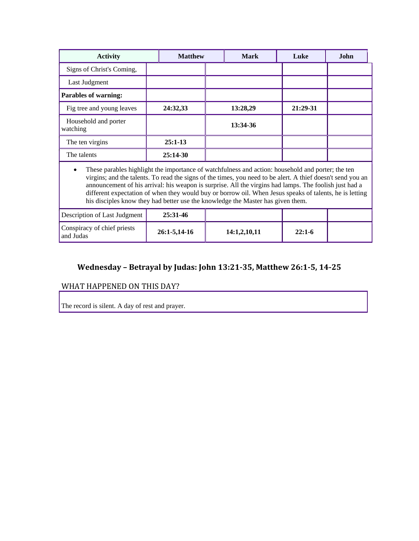| <b>Activity</b>                                                                                                                                                                                                                                                                                                                                                                                                                                                                                                          | <b>Matthew</b> |  | <b>Mark</b> | Luke     | John |
|--------------------------------------------------------------------------------------------------------------------------------------------------------------------------------------------------------------------------------------------------------------------------------------------------------------------------------------------------------------------------------------------------------------------------------------------------------------------------------------------------------------------------|----------------|--|-------------|----------|------|
| Signs of Christ's Coming,                                                                                                                                                                                                                                                                                                                                                                                                                                                                                                |                |  |             |          |      |
| Last Judgment                                                                                                                                                                                                                                                                                                                                                                                                                                                                                                            |                |  |             |          |      |
| <b>Parables of warning:</b>                                                                                                                                                                                                                                                                                                                                                                                                                                                                                              |                |  |             |          |      |
| Fig tree and young leaves                                                                                                                                                                                                                                                                                                                                                                                                                                                                                                | 24:32,33       |  | 13:28,29    | 21:29-31 |      |
| Household and porter<br>watching                                                                                                                                                                                                                                                                                                                                                                                                                                                                                         |                |  | 13:34-36    |          |      |
| The ten virgins                                                                                                                                                                                                                                                                                                                                                                                                                                                                                                          | $25:1-13$      |  |             |          |      |
| The talents                                                                                                                                                                                                                                                                                                                                                                                                                                                                                                              | $25:14-30$     |  |             |          |      |
| These parables highlight the importance of watchfulness and action: household and porter; the ten<br>virgins; and the talents. To read the signs of the times, you need to be alert. A thief doesn't send you an<br>announcement of his arrival: his weapon is surprise. All the virgins had lamps. The foolish just had a<br>different expectation of when they would buy or borrow oil. When Jesus speaks of talents, he is letting<br>his disciples know they had better use the knowledge the Master has given them. |                |  |             |          |      |
| Description of Last Judgment                                                                                                                                                                                                                                                                                                                                                                                                                                                                                             | 25:31-46       |  |             |          |      |

| Wednesday - Betrayal by Judas: John 13:21-35, Matthew 26:1-5, 14-25 |
|---------------------------------------------------------------------|
|---------------------------------------------------------------------|

**Conspiracy of chief priests 26:1-5,14-16 14:1,2,10,11 22:1-6 1** 

#### WHAT HAPPENED ON THIS DAY?

The record is silent. A day of rest and prayer.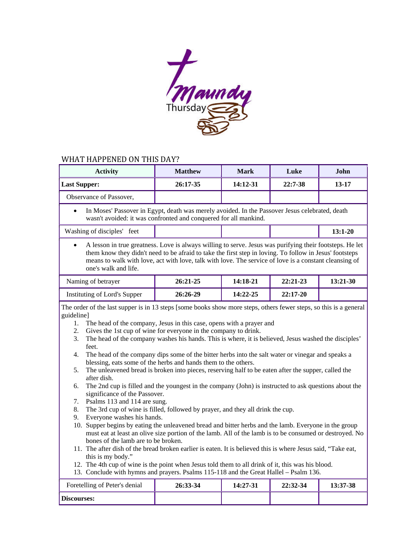

# WHAT HAPPENED ON THIS DAY?

| <b>Activity</b>                                                                                                                                                                                                                                                                                                                                                                                                                                                                                                                                                                                                                                                                                                                                                                                                                                                                                                                                                                                                                                                                                                                                                                                                                                                                                                                                                                                                                                                                                                                               | <b>Matthew</b><br>Luke<br><b>Mark</b><br>John |              |          |           |  |  |
|-----------------------------------------------------------------------------------------------------------------------------------------------------------------------------------------------------------------------------------------------------------------------------------------------------------------------------------------------------------------------------------------------------------------------------------------------------------------------------------------------------------------------------------------------------------------------------------------------------------------------------------------------------------------------------------------------------------------------------------------------------------------------------------------------------------------------------------------------------------------------------------------------------------------------------------------------------------------------------------------------------------------------------------------------------------------------------------------------------------------------------------------------------------------------------------------------------------------------------------------------------------------------------------------------------------------------------------------------------------------------------------------------------------------------------------------------------------------------------------------------------------------------------------------------|-----------------------------------------------|--------------|----------|-----------|--|--|
| <b>Last Supper:</b>                                                                                                                                                                                                                                                                                                                                                                                                                                                                                                                                                                                                                                                                                                                                                                                                                                                                                                                                                                                                                                                                                                                                                                                                                                                                                                                                                                                                                                                                                                                           | 26:17-35                                      | 14:12-31     | 22:7-38  | $13 - 17$ |  |  |
| Observance of Passover,                                                                                                                                                                                                                                                                                                                                                                                                                                                                                                                                                                                                                                                                                                                                                                                                                                                                                                                                                                                                                                                                                                                                                                                                                                                                                                                                                                                                                                                                                                                       |                                               |              |          |           |  |  |
| In Moses' Passover in Egypt, death was merely avoided. In the Passover Jesus celebrated, death<br>$\bullet$<br>wasn't avoided: it was confronted and conquered for all mankind.                                                                                                                                                                                                                                                                                                                                                                                                                                                                                                                                                                                                                                                                                                                                                                                                                                                                                                                                                                                                                                                                                                                                                                                                                                                                                                                                                               |                                               |              |          |           |  |  |
| Washing of disciples' feet                                                                                                                                                                                                                                                                                                                                                                                                                                                                                                                                                                                                                                                                                                                                                                                                                                                                                                                                                                                                                                                                                                                                                                                                                                                                                                                                                                                                                                                                                                                    | $13:1-20$                                     |              |          |           |  |  |
| A lesson in true greatness. Love is always willing to serve. Jesus was purifying their footsteps. He let<br>them know they didn't need to be afraid to take the first step in loving. To follow in Jesus' footsteps<br>means to walk with love, act with love, talk with love. The service of love is a constant cleansing of<br>one's walk and life.                                                                                                                                                                                                                                                                                                                                                                                                                                                                                                                                                                                                                                                                                                                                                                                                                                                                                                                                                                                                                                                                                                                                                                                         |                                               |              |          |           |  |  |
| Naming of betrayer                                                                                                                                                                                                                                                                                                                                                                                                                                                                                                                                                                                                                                                                                                                                                                                                                                                                                                                                                                                                                                                                                                                                                                                                                                                                                                                                                                                                                                                                                                                            | 26:21-25                                      | 14:18-21     | 22:21-23 | 13:21-30  |  |  |
| Instituting of Lord's Supper                                                                                                                                                                                                                                                                                                                                                                                                                                                                                                                                                                                                                                                                                                                                                                                                                                                                                                                                                                                                                                                                                                                                                                                                                                                                                                                                                                                                                                                                                                                  | 26:26-29                                      | $14:22 - 25$ | 22:17-20 |           |  |  |
| The order of the last supper is in 13 steps [some books show more steps, others fewer steps, so this is a general<br>guideline]<br>The head of the company, Jesus in this case, opens with a prayer and<br>1.<br>2.<br>Gives the 1st cup of wine for everyone in the company to drink.<br>The head of the company washes his hands. This is where, it is believed, Jesus washed the disciples'<br>3.<br>feet.<br>4.<br>The head of the company dips some of the bitter herbs into the salt water or vinegar and speaks a<br>blessing, eats some of the herbs and hands them to the others.<br>The unleavened bread is broken into pieces, reserving half to be eaten after the supper, called the<br>5.<br>after dish.<br>The 2nd cup is filled and the youngest in the company (John) is instructed to ask questions about the<br>6.<br>significance of the Passover.<br>Psalms 113 and 114 are sung.<br>7.<br>The 3rd cup of wine is filled, followed by prayer, and they all drink the cup.<br>8.<br>Everyone washes his hands.<br>9.<br>10. Supper begins by eating the unleavened bread and bitter herbs and the lamb. Everyone in the group<br>must eat at least an olive size portion of the lamb. All of the lamb is to be consumed or destroyed. No<br>bones of the lamb are to be broken.<br>11. The after dish of the bread broken earlier is eaten. It is believed this is where Jesus said, "Take eat,<br>this is my body."<br>12. The 4th cup of wine is the point when Jesus told them to all drink of it, this was his blood. |                                               |              |          |           |  |  |
| Foretelling of Peter's denial                                                                                                                                                                                                                                                                                                                                                                                                                                                                                                                                                                                                                                                                                                                                                                                                                                                                                                                                                                                                                                                                                                                                                                                                                                                                                                                                                                                                                                                                                                                 | 26:33-34                                      | 14:27-31     | 22:32-34 | 13:37-38  |  |  |
| <b>Discourses:</b>                                                                                                                                                                                                                                                                                                                                                                                                                                                                                                                                                                                                                                                                                                                                                                                                                                                                                                                                                                                                                                                                                                                                                                                                                                                                                                                                                                                                                                                                                                                            |                                               |              |          |           |  |  |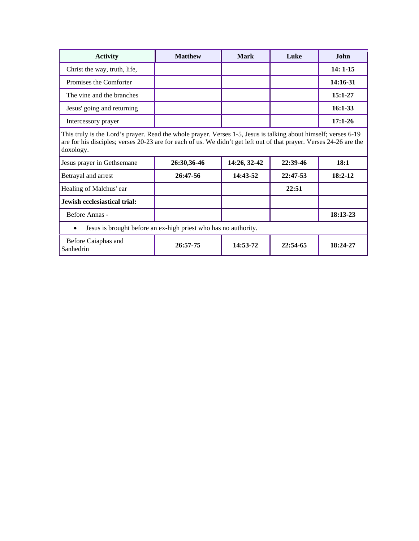| <b>Activity</b>              | <b>Matthew</b> | <b>Mark</b> | Luke | John      |
|------------------------------|----------------|-------------|------|-----------|
| Christ the way, truth, life, |                |             |      | $14:1-15$ |
| Promises the Comforter       |                |             |      | 14:16-31  |
| The vine and the branches    |                |             |      | $15:1-27$ |
| Jesus' going and returning   |                |             |      | $16:1-33$ |
| Intercessory prayer          |                |             |      | $17:1-26$ |

This truly is the Lord's prayer. Read the whole prayer. Verses 1-5, Jesus is talking about himself; verses 6-19 are for his disciples; verses 20-23 are for each of us. We didn't get left out of that prayer. Verses 24-26 are the doxology.

| Jesus prayer in Gethsemane                                                   | 26:30,36-46 | 14:26, 32-42 | 22:39-46   | 18:1      |
|------------------------------------------------------------------------------|-------------|--------------|------------|-----------|
| Betrayal and arrest                                                          | $26:47-56$  | 14:43-52     | $22:47-53$ | $18:2-12$ |
| Healing of Malchus' ear                                                      |             |              | 22:51      |           |
| Jewish ecclesiastical trial:                                                 |             |              |            |           |
| Before Annas -                                                               |             |              |            | 18:13-23  |
| Jesus is brought before an ex-high priest who has no authority.<br>$\bullet$ |             |              |            |           |
| Before Caiaphas and<br>Sanhedrin                                             | 26:57-75    | 14:53-72     | 22:54-65   | 18:24-27  |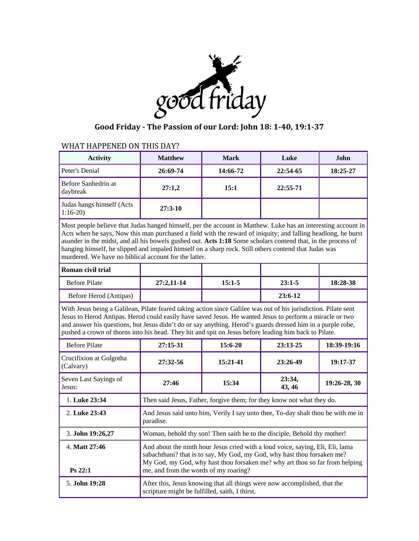

#### **Good Friday ‐ The Passion of our Lord: John 18: 1‐40, 19:1‐37**

#### WHAT HAPPENED ON THIS DAY?

| <b>Activity</b>                        | <b>Matthew</b> | <b>Mark</b> | Luke     | John       |
|----------------------------------------|----------------|-------------|----------|------------|
| Peter's Denial                         | 26:69-74       | 14:66-72    | 22:54-65 | $18:25-27$ |
| Before Sanhedrin at<br>daybreak        | 27:1,2         | 15:1        | 22:55-71 |            |
| Judas hangs himself (Acts<br>$1:16-20$ | $27:3-10$      |             |          |            |

Most people believe that Judas hanged himself, per the account in Matthew. Luke has an interesting account in Acts when he says, Now this man purchased a field with the reward of iniquity; and falling headlong, he burst asunder in the midst, and all his bowels gushed out. **Acts 1:18** Some scholars contend that, in the process of hanging himself, he slipped and impaled himself on a sharp rock. Still others contend that Judas was murdered. We have no biblical account for the latter.

| Roman civil trial      |            |          |           |          |
|------------------------|------------|----------|-----------|----------|
| Before Pilate          | 27:2.11-14 | $15:1-5$ | $23:1-5$  | 18:28-38 |
| Before Herod (Antipas) |            |          | $23:6-12$ |          |

With Jesus being a Galilean, Pilate feared taking action since Galilee was out of his jurisdiction. Pilate sent Jesus to Herod Antipas. Herod could easily have saved Jesus. He wanted Jesus to perform a miracle or two and answer his questions, but Jesus didn't do or say anything. Herod's guards dressed him in a purple robe, pushed a crown of thorns into his head. They hit and spit on Jesus before leading him back to Pilate.

| <b>Before Pilate</b>                 | $27:15-31$                                                                                                                                                                                                                                                                        | $15:6-20$  | $23:13-25$       | 18:39-19:16  |
|--------------------------------------|-----------------------------------------------------------------------------------------------------------------------------------------------------------------------------------------------------------------------------------------------------------------------------------|------------|------------------|--------------|
| Crucifixion at Golgotha<br>(Calvary) | 27:32-56                                                                                                                                                                                                                                                                          | $15:21-41$ | 23:26-49         | 19:17-37     |
| Seven Last Sayings of<br>Jesus:      | 27:46                                                                                                                                                                                                                                                                             | 15:34      | 23:34,<br>43, 46 | 19:26-28, 30 |
| 1. Luke 23:34                        | Then said Jesus, Father, for give them; for they know not what they do.                                                                                                                                                                                                           |            |                  |              |
| 2. Luke 23:43                        | And Jesus said unto him, Verily I say unto thee, To-day shalt thou be with me in<br>paradise.                                                                                                                                                                                     |            |                  |              |
| 3. John 19:26,27                     | Woman, behold thy son! Then saith he to the disciple, Behold thy mother!                                                                                                                                                                                                          |            |                  |              |
| 4. Matt 27:46<br>Ps 22:1             | And about the ninth hour Jesus cried with a loud voice, saying, Eli, Eli, lama<br>sabachthani? that is to say, My God, my God, why hast thou forsaken me?<br>My God, my God, why hast thou forsaken me? why art thou so far from helping<br>me, and from the words of my roaring? |            |                  |              |
| 5. John 19:28                        | After this, Jesus knowing that all things were now accomplished, that the<br>scripture might be fulfilled, saith, I thirst.                                                                                                                                                       |            |                  |              |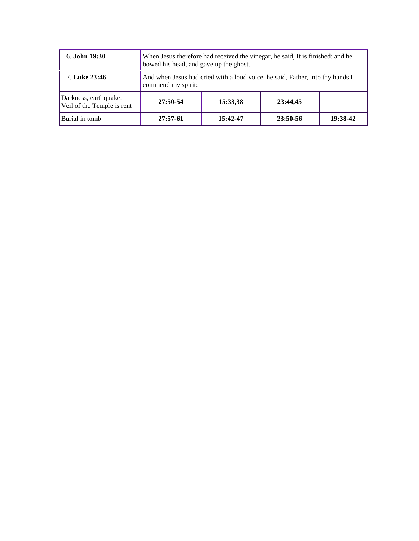| $6.$ John $19:30$                                   | When Jesus therefore had received the vinegar, he said, It is finished: and he<br>bowed his head, and gave up the ghost. |            |          |          |
|-----------------------------------------------------|--------------------------------------------------------------------------------------------------------------------------|------------|----------|----------|
| 7. Luke 23:46                                       | And when Jesus had cried with a loud voice, he said, Father, into thy hands I<br>commend my spirit:                      |            |          |          |
| Darkness, earthquake;<br>Veil of the Temple is rent | 27:50-54                                                                                                                 | 15:33,38   | 23:44,45 |          |
| Burial in tomb                                      | 27:57-61                                                                                                                 | $15:42-47$ | 23:50-56 | 19:38-42 |